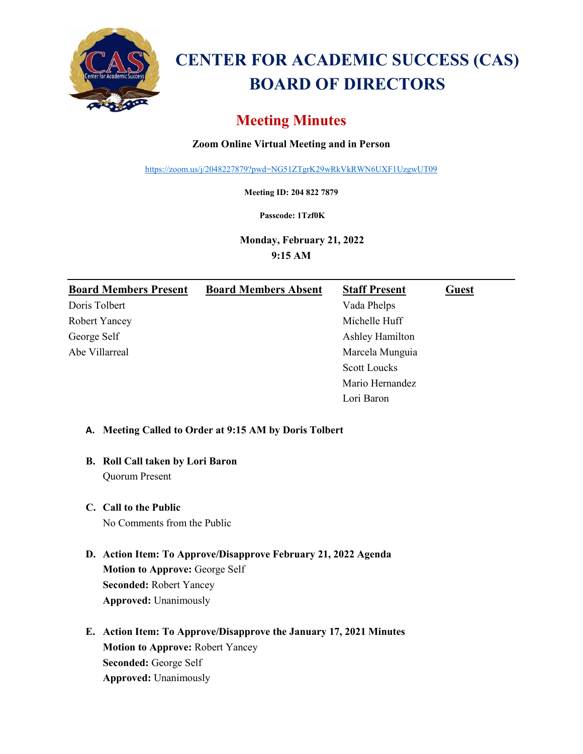

# **CENTER FOR ACADEMIC SUCCESS (CAS) BOARD OF DIRECTORS**

## **Meeting Minutes**

## **Zoom Online Virtual Meeting and in Person**

<https://zoom.us/j/2048227879?pwd=NG51ZTgrK29wRkVkRWN6UXF1UzgwUT09>

**Meeting ID: 204 822 7879**

**Passcode: 1Tzf0K**

**Monday, February 21, 2022 9:15 AM**

| <b>Board Members Present</b> | <b>Board Members Absent</b> | <b>Staff Present</b> | <b>Guest</b> |
|------------------------------|-----------------------------|----------------------|--------------|
| Doris Tolbert                |                             | Vada Phelps          |              |
| <b>Robert Yancey</b>         |                             | Michelle Huff        |              |
| George Self                  |                             | Ashley Hamilton      |              |
| Abe Villarreal               |                             | Marcela Munguia      |              |
|                              |                             | <b>Scott Loucks</b>  |              |
|                              |                             | Mario Hernandez      |              |
|                              |                             | Lori Baron           |              |

### **A. Meeting Called to Order at 9:15 AM by Doris Tolbert**

## **B. Roll Call taken by Lori Baron**

Quorum Present

## **C. Call to the Public**

No Comments from the Public

## **D. Action Item: To Approve/Disapprove February 21, 2022 Agenda Motion to Approve:** George Self **Seconded:** Robert Yancey **Approved:** Unanimously

**E. Action Item: To Approve/Disapprove the January 17, 2021 Minutes Motion to Approve:** Robert Yancey **Seconded:** George Self **Approved:** Unanimously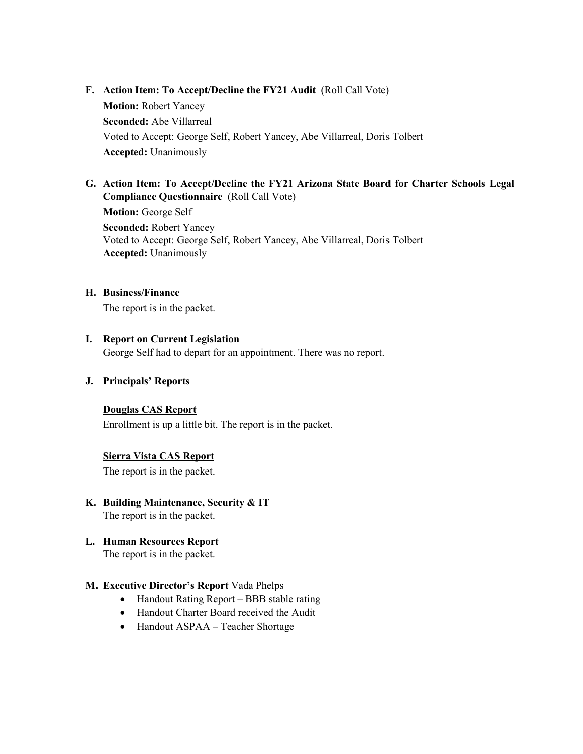**F.** Action Item: To Accept/Decline the FY21 Audit (Roll Call Vote) **Motion:** Robert Yancey **Seconded:** Abe Villarreal Voted to Accept: George Self, Robert Yancey, Abe Villarreal, Doris Tolbert **Accepted:** Unanimously

#### **G. Action Item: To Accept/Decline the FY21 Arizona State Board for Charter Schools Legal Compliance Questionnaire** (Roll Call Vote)

**Motion:** George Self **Seconded:** Robert Yancey Voted to Accept: George Self, Robert Yancey, Abe Villarreal, Doris Tolbert **Accepted:** Unanimously

#### **H. Business/Finance**

The report is in the packet.

#### **I. Report on Current Legislation**

George Self had to depart for an appointment. There was no report.

#### **J. Principals' Reports**

#### **Douglas CAS Report**

Enrollment is up a little bit. The report is in the packet.

#### **Sierra Vista CAS Report**

The report is in the packet.

- **K. Building Maintenance, Security & IT** The report is in the packet.
- **L. Human Resources Report** The report is in the packet.

#### **M. Executive Director's Report** Vada Phelps

- Handout Rating Report BBB stable rating
- Handout Charter Board received the Audit
- Handout ASPAA Teacher Shortage